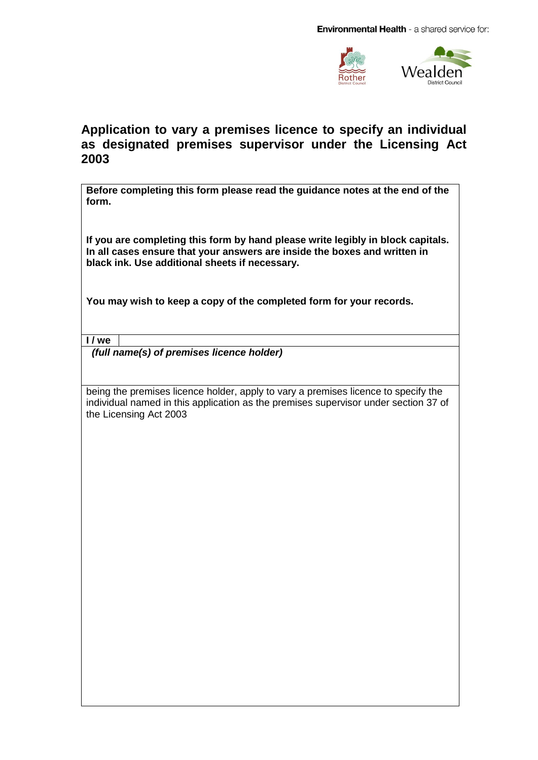

## **Application to vary a premises licence to specify an individual as designated premises supervisor under the Licensing Act 2003**

**Before completing this form please read the guidance notes at the end of the form.**

**If you are completing this form by hand please write legibly in block capitals. In all cases ensure that your answers are inside the boxes and written in black ink. Use additional sheets if necessary.**

**You may wish to keep a copy of the completed form for your records.**

**I / we**

 *(full name(s) of premises licence holder)*

being the premises licence holder, apply to vary a premises licence to specify the individual named in this application as the premises supervisor under section 37 of the Licensing Act 2003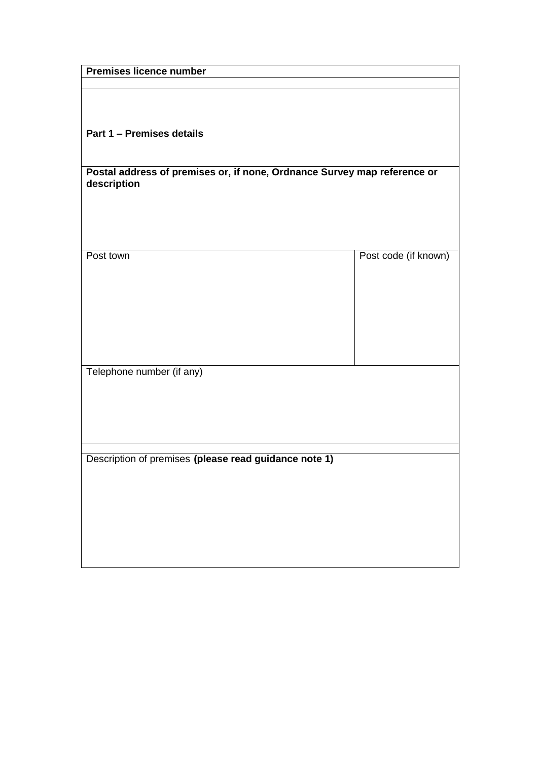| <b>Premises licence number</b>                                           |                      |  |
|--------------------------------------------------------------------------|----------------------|--|
|                                                                          |                      |  |
|                                                                          |                      |  |
|                                                                          |                      |  |
|                                                                          |                      |  |
|                                                                          |                      |  |
| Part 1 - Premises details                                                |                      |  |
|                                                                          |                      |  |
|                                                                          |                      |  |
| Postal address of premises or, if none, Ordnance Survey map reference or |                      |  |
|                                                                          |                      |  |
| description                                                              |                      |  |
|                                                                          |                      |  |
|                                                                          |                      |  |
|                                                                          |                      |  |
|                                                                          |                      |  |
|                                                                          |                      |  |
| Post town                                                                | Post code (if known) |  |
|                                                                          |                      |  |
|                                                                          |                      |  |
|                                                                          |                      |  |
|                                                                          |                      |  |
|                                                                          |                      |  |
|                                                                          |                      |  |
|                                                                          |                      |  |
|                                                                          |                      |  |
|                                                                          |                      |  |
|                                                                          |                      |  |
| Telephone number (if any)                                                |                      |  |
|                                                                          |                      |  |
|                                                                          |                      |  |
|                                                                          |                      |  |
|                                                                          |                      |  |
|                                                                          |                      |  |
|                                                                          |                      |  |
|                                                                          |                      |  |
| Description of premises (please read guidance note 1)                    |                      |  |
|                                                                          |                      |  |
|                                                                          |                      |  |
|                                                                          |                      |  |
|                                                                          |                      |  |
|                                                                          |                      |  |
|                                                                          |                      |  |
|                                                                          |                      |  |
|                                                                          |                      |  |
|                                                                          |                      |  |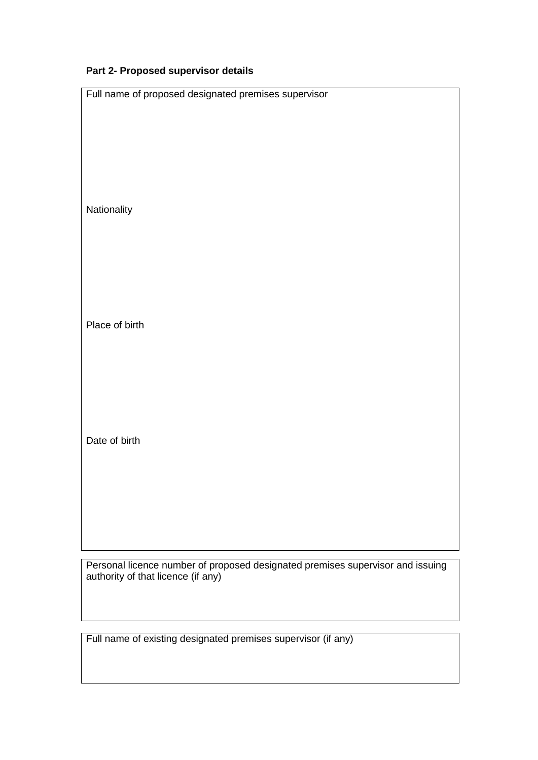## **Part 2- Proposed supervisor details**

| Full name of proposed designated premises supervisor                           |  |  |
|--------------------------------------------------------------------------------|--|--|
|                                                                                |  |  |
|                                                                                |  |  |
|                                                                                |  |  |
|                                                                                |  |  |
|                                                                                |  |  |
|                                                                                |  |  |
|                                                                                |  |  |
|                                                                                |  |  |
|                                                                                |  |  |
| Nationality                                                                    |  |  |
|                                                                                |  |  |
|                                                                                |  |  |
|                                                                                |  |  |
|                                                                                |  |  |
|                                                                                |  |  |
|                                                                                |  |  |
|                                                                                |  |  |
|                                                                                |  |  |
|                                                                                |  |  |
| Place of birth                                                                 |  |  |
|                                                                                |  |  |
|                                                                                |  |  |
|                                                                                |  |  |
|                                                                                |  |  |
|                                                                                |  |  |
|                                                                                |  |  |
|                                                                                |  |  |
|                                                                                |  |  |
|                                                                                |  |  |
| Date of birth                                                                  |  |  |
|                                                                                |  |  |
|                                                                                |  |  |
|                                                                                |  |  |
|                                                                                |  |  |
|                                                                                |  |  |
|                                                                                |  |  |
|                                                                                |  |  |
|                                                                                |  |  |
|                                                                                |  |  |
|                                                                                |  |  |
| Personal licence number of proposed designated premises supervisor and issuing |  |  |
| authority of that licence (if any)                                             |  |  |
|                                                                                |  |  |

Full name of existing designated premises supervisor (if any)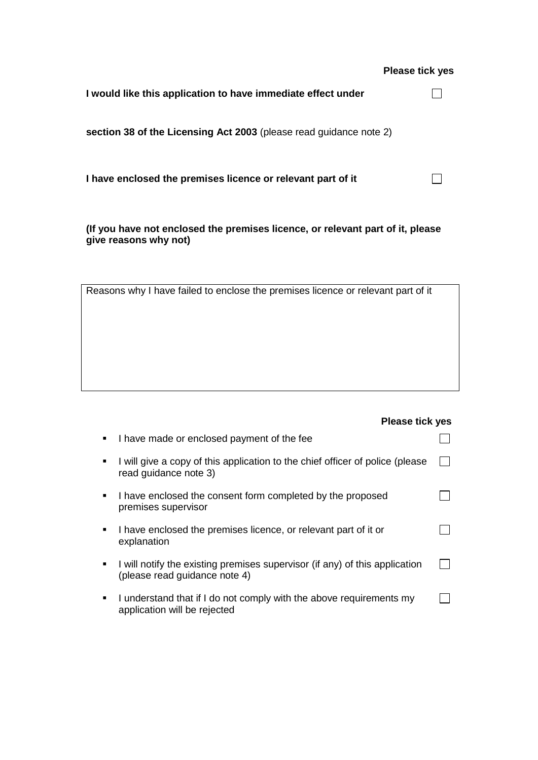## **Please tick yes**

 $\Box$ 

| I would like this application to have immediate effect under       |  |
|--------------------------------------------------------------------|--|
| section 38 of the Licensing Act 2003 (please read guidance note 2) |  |

**I have enclosed the premises licence or relevant part of it**

**(If you have not enclosed the premises licence, or relevant part of it, please give reasons why not)**

| Reasons why I have failed to enclose the premises licence or relevant part of it |  |  |
|----------------------------------------------------------------------------------|--|--|
|                                                                                  |  |  |
|                                                                                  |  |  |
|                                                                                  |  |  |
|                                                                                  |  |  |
|                                                                                  |  |  |
|                                                                                  |  |  |
|                                                                                  |  |  |
|                                                                                  |  |  |
|                                                                                  |  |  |

|   | <b>Please tick yes</b>                                                                                       |  |
|---|--------------------------------------------------------------------------------------------------------------|--|
| ٠ | I have made or enclosed payment of the fee                                                                   |  |
| ٠ | I will give a copy of this application to the chief officer of police (please<br>read guidance note 3)       |  |
| ٠ | I have enclosed the consent form completed by the proposed<br>premises supervisor                            |  |
| ٠ | I have enclosed the premises licence, or relevant part of it or<br>explanation                               |  |
|   | I will notify the existing premises supervisor (if any) of this application<br>(please read guidance note 4) |  |
| ٠ | I understand that if I do not comply with the above requirements my<br>application will be rejected          |  |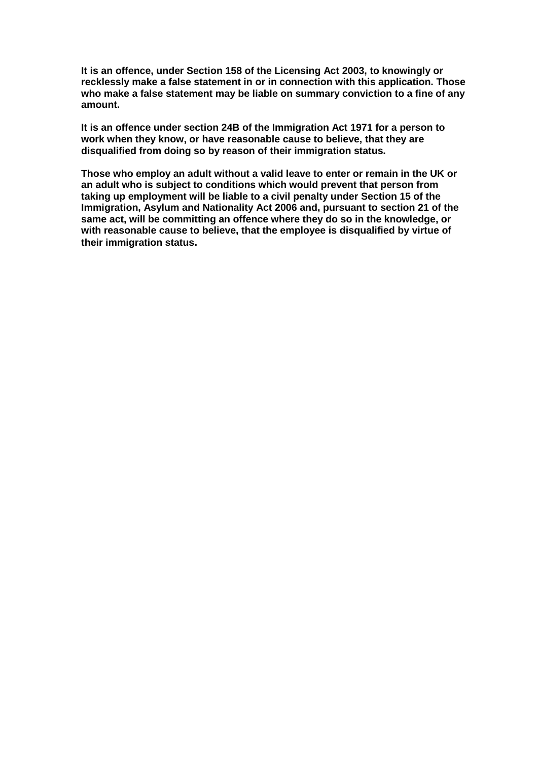**It is an offence, under Section 158 of the Licensing Act 2003, to knowingly or recklessly make a false statement in or in connection with this application. Those who make a false statement may be liable on summary conviction to a fine of any amount.** 

**It is an offence under section 24B of the Immigration Act 1971 for a person to work when they know, or have reasonable cause to believe, that they are disqualified from doing so by reason of their immigration status.** 

**Those who employ an adult without a valid leave to enter or remain in the UK or an adult who is subject to conditions which would prevent that person from taking up employment will be liable to a civil penalty under Section 15 of the Immigration, Asylum and Nationality Act 2006 and, pursuant to section 21 of the same act, will be committing an offence where they do so in the knowledge, or with reasonable cause to believe, that the employee is disqualified by virtue of their immigration status.**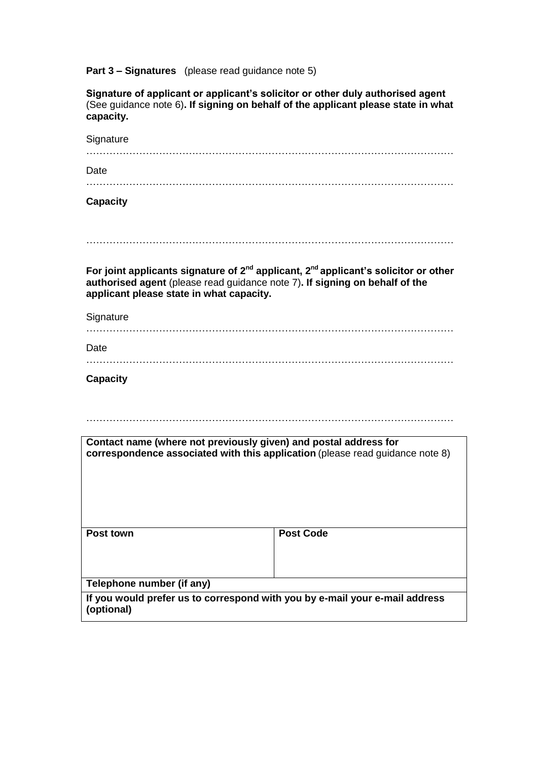**Part 3 – Signatures** (please read guidance note 5)

| Signature of applicant or applicant's solicitor or other duly authorised agent<br>(See guidance note 6). If signing on behalf of the applicant please state in what<br>capacity.                                         |                  |  |  |  |
|--------------------------------------------------------------------------------------------------------------------------------------------------------------------------------------------------------------------------|------------------|--|--|--|
| Signature                                                                                                                                                                                                                |                  |  |  |  |
|                                                                                                                                                                                                                          |                  |  |  |  |
| Date                                                                                                                                                                                                                     |                  |  |  |  |
|                                                                                                                                                                                                                          |                  |  |  |  |
| <b>Capacity</b>                                                                                                                                                                                                          |                  |  |  |  |
|                                                                                                                                                                                                                          |                  |  |  |  |
| For joint applicants signature of $2^{nd}$ applicant, $2^{nd}$ applicant's solicitor or other<br>authorised agent (please read guidance note 7). If signing on behalf of the<br>applicant please state in what capacity. |                  |  |  |  |
| Signature                                                                                                                                                                                                                |                  |  |  |  |
|                                                                                                                                                                                                                          |                  |  |  |  |
| Date                                                                                                                                                                                                                     |                  |  |  |  |
|                                                                                                                                                                                                                          |                  |  |  |  |
| <b>Capacity</b>                                                                                                                                                                                                          |                  |  |  |  |
|                                                                                                                                                                                                                          |                  |  |  |  |
|                                                                                                                                                                                                                          |                  |  |  |  |
|                                                                                                                                                                                                                          |                  |  |  |  |
| Contact name (where not previously given) and postal address for<br>correspondence associated with this application (please read guidance note 8)                                                                        |                  |  |  |  |
|                                                                                                                                                                                                                          |                  |  |  |  |
| Post town                                                                                                                                                                                                                | <b>Post Code</b> |  |  |  |
| Telephone number (if any)                                                                                                                                                                                                |                  |  |  |  |
| If you would prefer us to correspond with you by e-mail your e-mail address<br>(optional)                                                                                                                                |                  |  |  |  |